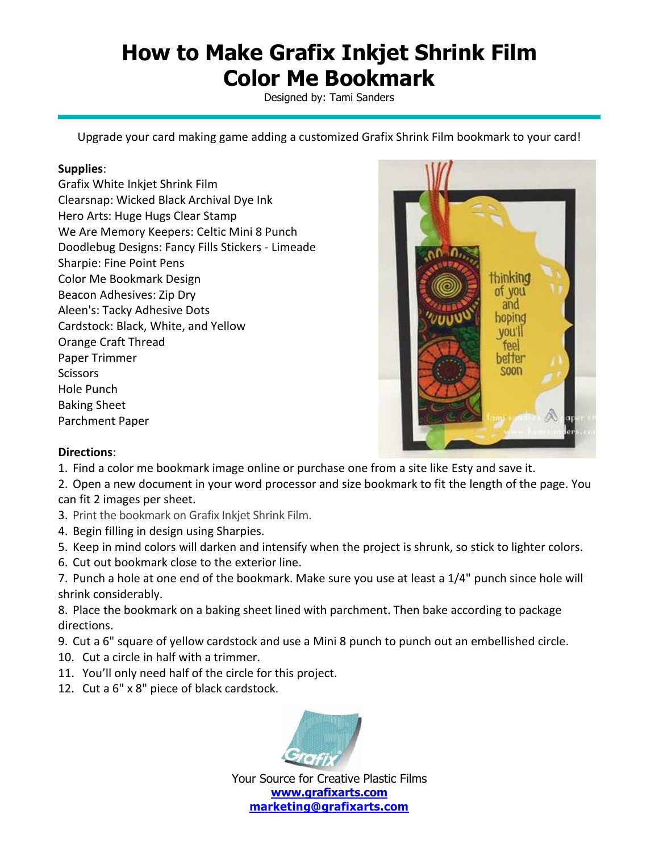## **How to Make Grafix Inkjet Shrink Film Color Me Bookmark**

Designed by: Tami Sanders

Upgrade your card making game adding a customized Grafix Shrink Film bookmark to your card!

## **Supplies**:

Grafix White Inkjet Shrink Film Clearsnap: Wicked Black Archival Dye Ink Hero Arts: Huge Hugs Clear Stamp We Are Memory Keepers: Celtic Mini 8 Punch Doodlebug Designs: Fancy Fills Stickers - Limeade Sharpie: Fine Point Pens Color Me Bookmark Design Beacon Adhesives: Zip Dry Aleen's: Tacky Adhesive Dots Cardstock: Black, White, and Yellow Orange Craft Thread Paper Trimmer **Scissors** Hole Punch Baking Sheet Parchment Paper



## **Directions**:

1. Find a color me bookmark image online or purchase one from a site like Esty and save it.

2. Open a new document in your word processor and size bookmark to fit the length of the page. You can fit 2 images per sheet.

- 3. Print the bookmark on Grafix Inkjet Shrink Film.
- 4. Begin filling in design using Sharpies.
- 5. Keep in mind colors will darken and intensify when the project is shrunk, so stick to lighter colors.
- 6. Cut out bookmark close to the exterior line.

7. Punch a hole at one end of the bookmark. Make sure you use at least a 1/4" punch since hole will shrink considerably.

8. Place the bookmark on a baking sheet lined with parchment. Then bake according to package directions.

9. Cut a 6" square of yellow cardstock and use a Mini 8 punch to punch out an embellished circle.

- 10. Cut a circle in half with a trimmer.
- 11. You'll only need half of the circle for this project.
- 12. Cut a 6" x 8" piece of black cardstock.



Your Source for Creative Plastic Films **[www.grafixarts.com](http://www.grafixarts.com/) [marketing@grafixarts.com](mailto:marketing@grafixarts.com)**